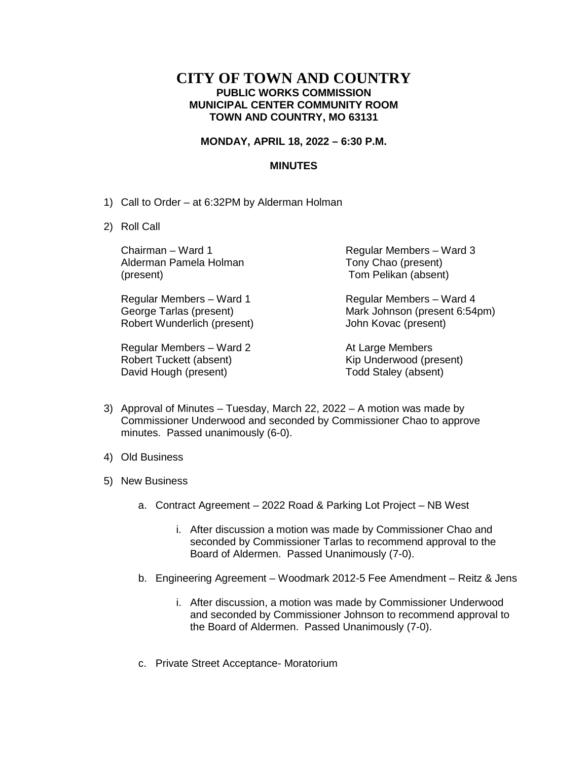## **CITY OF TOWN AND COUNTRY PUBLIC WORKS COMMISSION MUNICIPAL CENTER COMMUNITY ROOM TOWN AND COUNTRY, MO 63131**

## **MONDAY, APRIL 18, 2022 – 6:30 P.M.**

## **MINUTES**

- 1) Call to Order at 6:32PM by Alderman Holman
- 2) Roll Call

Chairman – Ward 1 Alderman Pamela Holman (present)

Regular Members – Ward 1 George Tarlas (present) Robert Wunderlich (present)

Regular Members – Ward 2 Robert Tuckett (absent) David Hough (present)

Regular Members – Ward 3 Tony Chao (present) Tom Pelikan (absent)

Regular Members – Ward 4 Mark Johnson (present 6:54pm) John Kovac (present)

At Large Members Kip Underwood (present) Todd Staley (absent)

- 3) Approval of Minutes Tuesday, March 22, 2022 A motion was made by Commissioner Underwood and seconded by Commissioner Chao to approve minutes. Passed unanimously (6-0).
- 4) Old Business
- 5) New Business
	- a. Contract Agreement 2022 Road & Parking Lot Project NB West
		- i. After discussion a motion was made by Commissioner Chao and seconded by Commissioner Tarlas to recommend approval to the Board of Aldermen. Passed Unanimously (7-0).
	- b. Engineering Agreement Woodmark 2012-5 Fee Amendment Reitz & Jens
		- i. After discussion, a motion was made by Commissioner Underwood and seconded by Commissioner Johnson to recommend approval to the Board of Aldermen. Passed Unanimously (7-0).
	- c. Private Street Acceptance- Moratorium